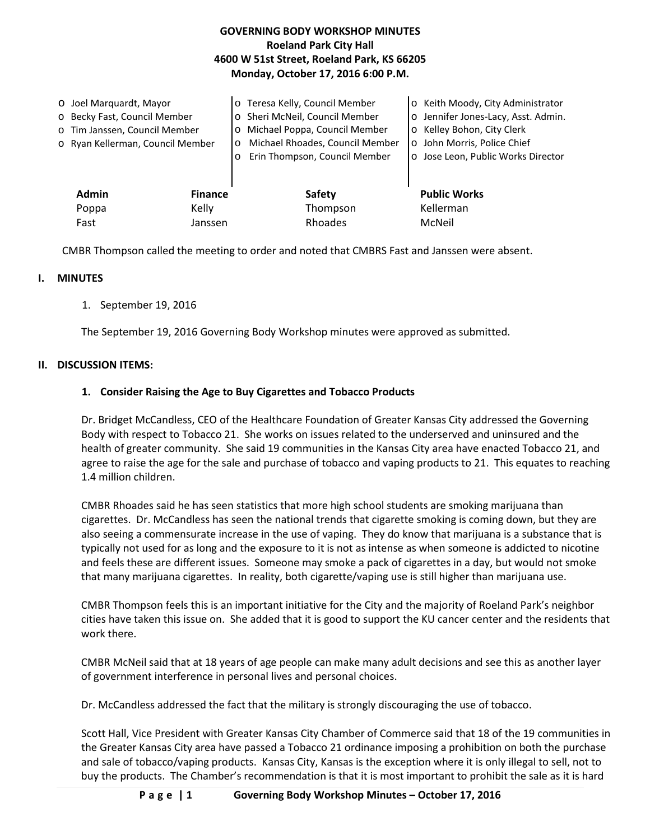| <b>GOVERNING BODY WORKSHOP MINUTES</b><br><b>Roeland Park City Hall</b><br>4600 W 51st Street, Roeland Park, KS 66205<br>Monday, October 17, 2016 6:00 P.M. |                                                                                                                              |                |                                                                                                                                                                                                      |                                                                                                                                                                             |
|-------------------------------------------------------------------------------------------------------------------------------------------------------------|------------------------------------------------------------------------------------------------------------------------------|----------------|------------------------------------------------------------------------------------------------------------------------------------------------------------------------------------------------------|-----------------------------------------------------------------------------------------------------------------------------------------------------------------------------|
|                                                                                                                                                             | ○ Joel Marquardt, Mayor<br>o Becky Fast, Council Member<br>o Tim Janssen, Council Member<br>o Ryan Kellerman, Council Member |                | o Teresa Kelly, Council Member<br>Sheri McNeil, Council Member<br>Michael Poppa, Council Member<br>$\circ$<br>Michael Rhoades, Council Member<br>$\circ$<br>Erin Thompson, Council Member<br>$\circ$ | o Keith Moody, City Administrator<br>o Jennifer Jones-Lacy, Asst. Admin.<br>o Kelley Bohon, City Clerk<br>o John Morris, Police Chief<br>o Jose Leon, Public Works Director |
|                                                                                                                                                             | <b>Admin</b>                                                                                                                 | <b>Finance</b> | <b>Safety</b>                                                                                                                                                                                        | <b>Public Works</b>                                                                                                                                                         |
|                                                                                                                                                             | Poppa                                                                                                                        | Kelly          | Thompson                                                                                                                                                                                             | Kellerman                                                                                                                                                                   |
|                                                                                                                                                             | Fast                                                                                                                         | Janssen        | Rhoades                                                                                                                                                                                              | McNeil                                                                                                                                                                      |

CMBR Thompson called the meeting to order and noted that CMBRS Fast and Janssen were absent.

### **I. MINUTES**

# 1. September 19, 2016

The September 19, 2016 Governing Body Workshop minutes were approved as submitted.

### **II. DISCUSSION ITEMS:**

# **1. Consider Raising the Age to Buy Cigarettes and Tobacco Products**

Dr. Bridget McCandless, CEO of the Healthcare Foundation of Greater Kansas City addressed the Governing Body with respect to Tobacco 21. She works on issues related to the underserved and uninsured and the health of greater community. She said 19 communities in the Kansas City area have enacted Tobacco 21, and agree to raise the age for the sale and purchase of tobacco and vaping products to 21. This equates to reaching 1.4 million children.

CMBR Rhoades said he has seen statistics that more high school students are smoking marijuana than cigarettes. Dr. McCandless has seen the national trends that cigarette smoking is coming down, but they are also seeing a commensurate increase in the use of vaping. They do know that marijuana is a substance that is typically not used for as long and the exposure to it is not as intense as when someone is addicted to nicotine and feels these are different issues. Someone may smoke a pack of cigarettes in a day, but would not smoke that many marijuana cigarettes. In reality, both cigarette/vaping use is still higher than marijuana use.

CMBR Thompson feels this is an important initiative for the City and the majority of Roeland Park's neighbor cities have taken this issue on. She added that it is good to support the KU cancer center and the residents that work there.

CMBR McNeil said that at 18 years of age people can make many adult decisions and see this as another layer of government interference in personal lives and personal choices.

Dr. McCandless addressed the fact that the military is strongly discouraging the use of tobacco.

Scott Hall, Vice President with Greater Kansas City Chamber of Commerce said that 18 of the 19 communities in the Greater Kansas City area have passed a Tobacco 21 ordinance imposing a prohibition on both the purchase and sale of tobacco/vaping products. Kansas City, Kansas is the exception where it is only illegal to sell, not to buy the products. The Chamber's recommendation is that it is most important to prohibit the sale as it is hard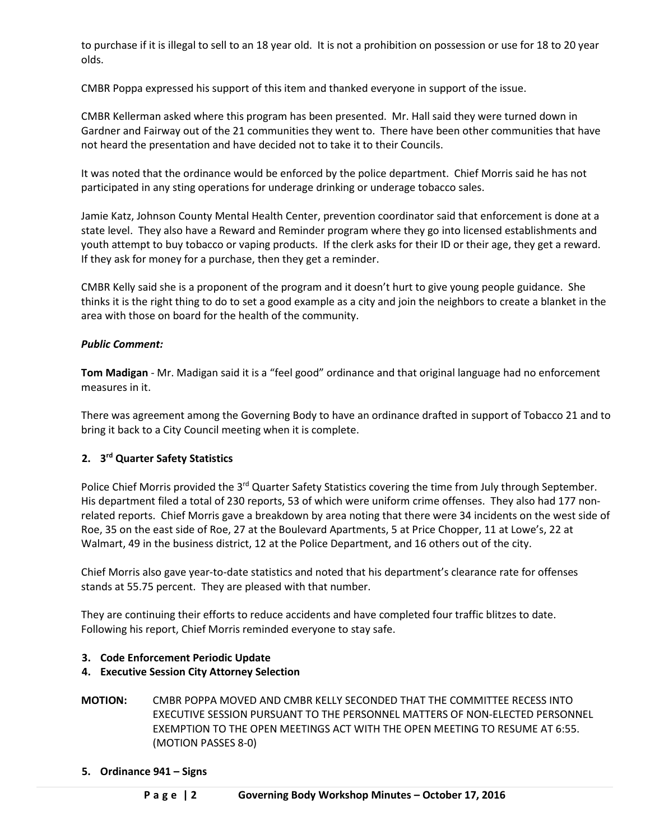to purchase if it is illegal to sell to an 18 year old. It is not a prohibition on possession or use for 18 to 20 year olds.

CMBR Poppa expressed his support of this item and thanked everyone in support of the issue.

CMBR Kellerman asked where this program has been presented. Mr. Hall said they were turned down in Gardner and Fairway out of the 21 communities they went to. There have been other communities that have not heard the presentation and have decided not to take it to their Councils.

It was noted that the ordinance would be enforced by the police department. Chief Morris said he has not participated in any sting operations for underage drinking or underage tobacco sales.

Jamie Katz, Johnson County Mental Health Center, prevention coordinator said that enforcement is done at a state level. They also have a Reward and Reminder program where they go into licensed establishments and youth attempt to buy tobacco or vaping products. If the clerk asks for their ID or their age, they get a reward. If they ask for money for a purchase, then they get a reminder.

CMBR Kelly said she is a proponent of the program and it doesn't hurt to give young people guidance. She thinks it is the right thing to do to set a good example as a city and join the neighbors to create a blanket in the area with those on board for the health of the community.

### *Public Comment:*

**Tom Madigan** - Mr. Madigan said it is a "feel good" ordinance and that original language had no enforcement measures in it.

There was agreement among the Governing Body to have an ordinance drafted in support of Tobacco 21 and to bring it back to a City Council meeting when it is complete.

## **2. 3rd Quarter Safety Statistics**

Police Chief Morris provided the 3<sup>rd</sup> Quarter Safety Statistics covering the time from July through September. His department filed a total of 230 reports, 53 of which were uniform crime offenses. They also had 177 nonrelated reports. Chief Morris gave a breakdown by area noting that there were 34 incidents on the west side of Roe, 35 on the east side of Roe, 27 at the Boulevard Apartments, 5 at Price Chopper, 11 at Lowe's, 22 at Walmart, 49 in the business district, 12 at the Police Department, and 16 others out of the city.

Chief Morris also gave year-to-date statistics and noted that his department's clearance rate for offenses stands at 55.75 percent. They are pleased with that number.

They are continuing their efforts to reduce accidents and have completed four traffic blitzes to date. Following his report, Chief Morris reminded everyone to stay safe.

### **3. Code Enforcement Periodic Update**

- **4. Executive Session City Attorney Selection**
- **MOTION:** CMBR POPPA MOVED AND CMBR KELLY SECONDED THAT THE COMMITTEE RECESS INTO EXECUTIVE SESSION PURSUANT TO THE PERSONNEL MATTERS OF NON-ELECTED PERSONNEL EXEMPTION TO THE OPEN MEETINGS ACT WITH THE OPEN MEETING TO RESUME AT 6:55. (MOTION PASSES 8-0)
- **5. Ordinance 941 – Signs**